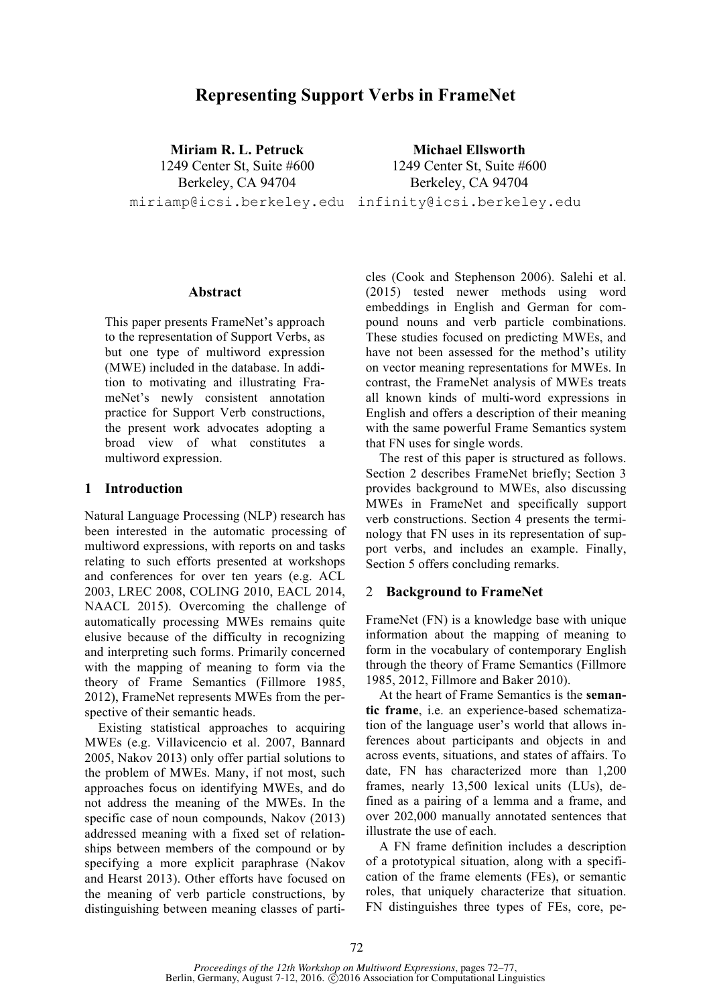# **Representing Support Verbs in FrameNet**

**Miriam R. L. Petruck** 1249 Center St, Suite #600 Berkeley, CA 94704 miriamp@icsi.berkeley.edu infinity@icsi.berkeley.edu

**Michael Ellsworth** 1249 Center St, Suite #600 Berkeley, CA 94704

#### **Abstract**

This paper presents FrameNet's approach to the representation of Support Verbs, as but one type of multiword expression (MWE) included in the database. In addition to motivating and illustrating FrameNet's newly consistent annotation practice for Support Verb constructions, the present work advocates adopting a broad view of what constitutes a multiword expression.

#### **1 Introduction**

Natural Language Processing (NLP) research has been interested in the automatic processing of multiword expressions, with reports on and tasks relating to such efforts presented at workshops and conferences for over ten years (e.g. ACL 2003, LREC 2008, COLING 2010, EACL 2014, NAACL 2015). Overcoming the challenge of automatically processing MWEs remains quite elusive because of the difficulty in recognizing and interpreting such forms. Primarily concerned with the mapping of meaning to form via the theory of Frame Semantics (Fillmore 1985, 2012), FrameNet represents MWEs from the perspective of their semantic heads.

Existing statistical approaches to acquiring MWEs (e.g. Villavicencio et al. 2007, Bannard 2005, Nakov 2013) only offer partial solutions to the problem of MWEs. Many, if not most, such approaches focus on identifying MWEs, and do not address the meaning of the MWEs. In the specific case of noun compounds, Nakov (2013) addressed meaning with a fixed set of relationships between members of the compound or by specifying a more explicit paraphrase (Nakov and Hearst 2013). Other efforts have focused on the meaning of verb particle constructions, by distinguishing between meaning classes of particles (Cook and Stephenson 2006). Salehi et al. (2015) tested newer methods using word embeddings in English and German for compound nouns and verb particle combinations. These studies focused on predicting MWEs, and have not been assessed for the method's utility on vector meaning representations for MWEs. In contrast, the FrameNet analysis of MWEs treats all known kinds of multi-word expressions in English and offers a description of their meaning with the same powerful Frame Semantics system that FN uses for single words.

The rest of this paper is structured as follows. Section 2 describes FrameNet briefly; Section 3 provides background to MWEs, also discussing MWEs in FrameNet and specifically support verb constructions. Section 4 presents the terminology that FN uses in its representation of support verbs, and includes an example. Finally, Section 5 offers concluding remarks.

### 2 **Background to FrameNet**

FrameNet (FN) is a knowledge base with unique information about the mapping of meaning to form in the vocabulary of contemporary English through the theory of Frame Semantics (Fillmore 1985, 2012, Fillmore and Baker 2010).

At the heart of Frame Semantics is the **semantic frame**, i.e. an experience-based schematization of the language user's world that allows inferences about participants and objects in and across events, situations, and states of affairs. To date, FN has characterized more than 1,200 frames, nearly 13,500 lexical units (LUs), defined as a pairing of a lemma and a frame, and over 202,000 manually annotated sentences that illustrate the use of each.

A FN frame definition includes a description of a prototypical situation, along with a specification of the frame elements (FEs), or semantic roles, that uniquely characterize that situation. FN distinguishes three types of FEs, core, pe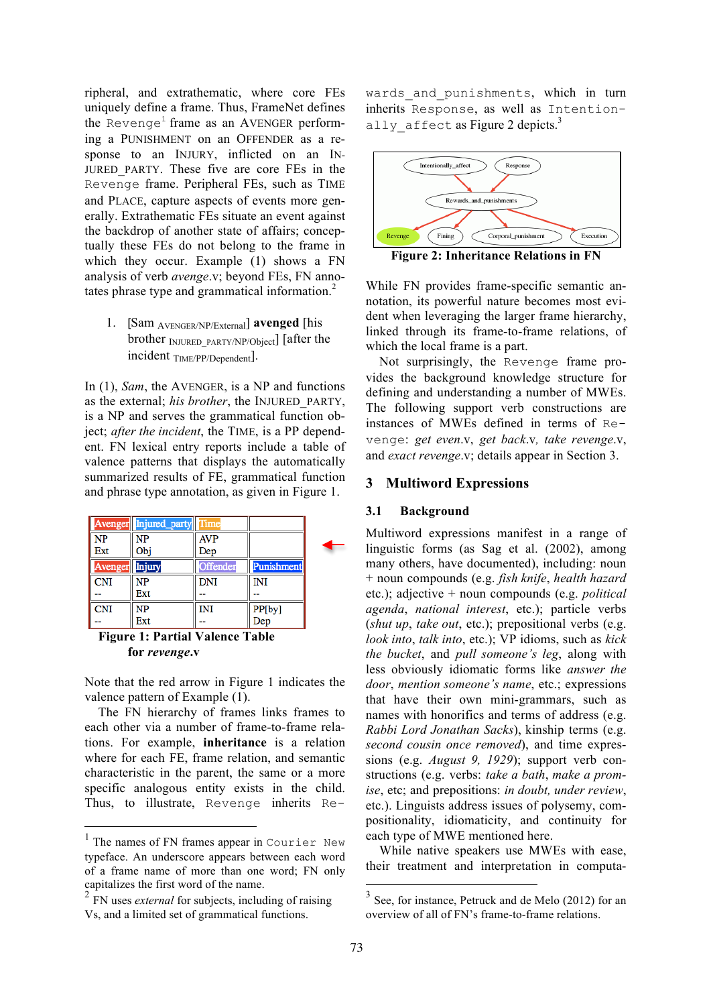ripheral, and extrathematic, where core FEs uniquely define a frame. Thus, FrameNet defines the  $\text{Reverse}^1$  frame as an AVENGER performing a PUNISHMENT on an OFFENDER as a response to an INJURY, inflicted on an IN-JURED\_PARTY. These five are core FEs in the Revenge frame. Peripheral FEs, such as TIME and PLACE, capture aspects of events more generally. Extrathematic FEs situate an event against the backdrop of another state of affairs; conceptually these FEs do not belong to the frame in which they occur. Example (1) shows a FN analysis of verb *avenge*.v; beyond FEs, FN annotates phrase type and grammatical information. $2^2$ 

1. [Sam AVENGER/NP/External] **avenged** [his brother INJURED\_PARTY/NP/Object] [after the incident TIME/PP/Dependent].

In (1), *Sam*, the AVENGER, is a NP and functions as the external; *his brother*, the INJURED\_PARTY, is a NP and serves the grammatical function object; *after the incident*, the TIME, is a PP dependent. FN lexical entry reports include a table of valence patterns that displays the automatically summarized results of FE, grammatical function and phrase type annotation, as given in Figure 1.

|                | Avenger Injured_party | Time       |                   |  |
|----------------|-----------------------|------------|-------------------|--|
| <b>NP</b>      | NΡ                    | <b>AVP</b> |                   |  |
| Ext            | Obj                   | Dep        |                   |  |
| Avenger Injury |                       | Offender   | <b>Punishment</b> |  |
| <b>CNI</b>     | NΡ                    | <b>DNI</b> | INI               |  |
|                | Ext                   | $\sim$     |                   |  |
| <b>CNI</b>     | NΡ                    | INI        | PP[by]<br>Dep     |  |
|                | Ext                   | --         |                   |  |

**Figure 1: Partial Valence Table for** *revenge***.v**

Note that the red arrow in Figure 1 indicates the valence pattern of Example (1).

The FN hierarchy of frames links frames to each other via a number of frame-to-frame relations. For example, **inheritance** is a relation where for each FE, frame relation, and semantic characteristic in the parent, the same or a more specific analogous entity exists in the child. Thus, to illustrate, Revenge inherits Re-

wards and punishments, which in turn inherits Response, as well as Intentionally affect as Figure 2 depicts.<sup>3</sup>



**Figure 2: Inheritance Relations in FN**

While FN provides frame-specific semantic annotation, its powerful nature becomes most evident when leveraging the larger frame hierarchy, linked through its frame-to-frame relations, of which the local frame is a part.

Not surprisingly, the Revenge frame provides the background knowledge structure for defining and understanding a number of MWEs. The following support verb constructions are instances of MWEs defined in terms of Revenge: *get even*.v, *get back*.v*, take revenge*.v, and *exact revenge*.v; details appear in Section 3.

### **3 Multiword Expressions**

#### **3.1 Background**

Multiword expressions manifest in a range of linguistic forms (as Sag et al. (2002), among many others, have documented), including: noun + noun compounds (e.g. *fish knife*, *health hazard* etc.); adjective + noun compounds (e.g. *political agenda*, *national interest*, etc.); particle verbs (*shut up*, *take out*, etc.); prepositional verbs (e.g. *look into*, *talk into*, etc.); VP idioms, such as *kick the bucket*, and *pull someone's leg*, along with less obviously idiomatic forms like *answer the door*, *mention someone's name*, etc.; expressions that have their own mini-grammars, such as names with honorifics and terms of address (e.g. *Rabbi Lord Jonathan Sacks*), kinship terms (e.g. *second cousin once removed*), and time expressions (e.g. *August 9, 1929*); support verb constructions (e.g. verbs: *take a bath*, *make a promise*, etc; and prepositions: *in doubt, under review*, etc.). Linguists address issues of polysemy, compositionality, idiomaticity, and continuity for each type of MWE mentioned here.

While native speakers use MWEs with ease, their treatment and interpretation in computa-

<sup>1</sup> The names of FN frames appear in Courier New typeface. An underscore appears between each word of a frame name of more than one word; FN only capitalizes the first word of the name.

<sup>2</sup> FN uses *external* for subjects, including of raising Vs, and a limited set of grammatical functions.

See, for instance, Petruck and de Melo (2012) for an overview of all of FN's frame-to-frame relations.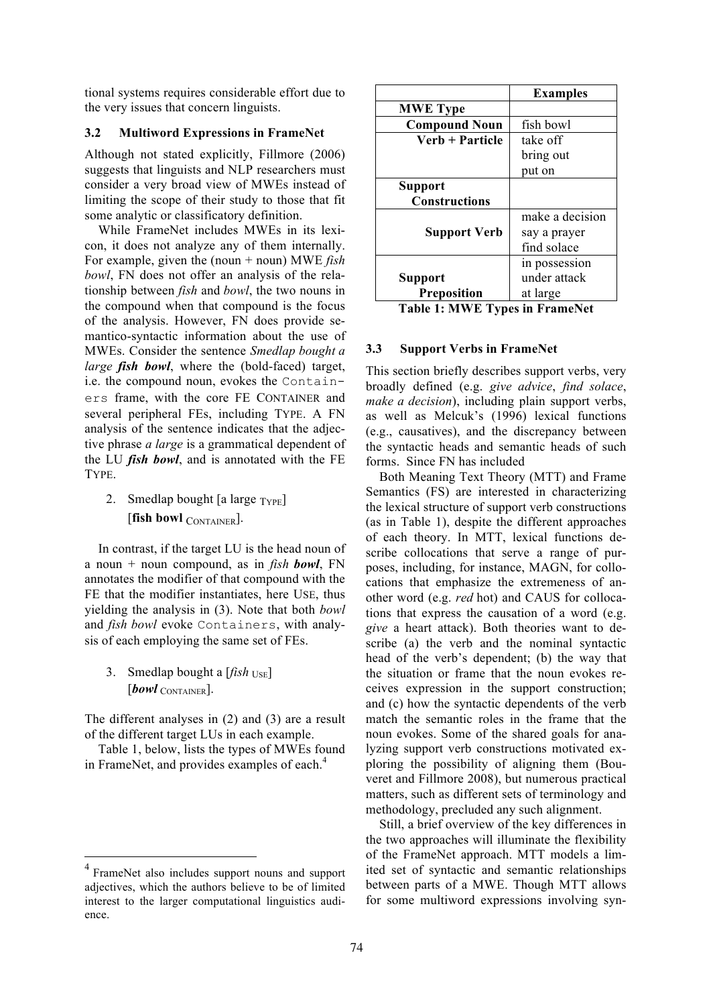tional systems requires considerable effort due to the very issues that concern linguists.

### **3.2 Multiword Expressions in FrameNet**

Although not stated explicitly, Fillmore (2006) suggests that linguists and NLP researchers must consider a very broad view of MWEs instead of limiting the scope of their study to those that fit some analytic or classificatory definition.

While FrameNet includes MWEs in its lexicon, it does not analyze any of them internally. For example, given the (noun + noun) MWE *fish bowl*, FN does not offer an analysis of the relationship between *fish* and *bowl*, the two nouns in the compound when that compound is the focus of the analysis. However, FN does provide semantico-syntactic information about the use of MWEs. Consider the sentence *Smedlap bought a large fish bowl*, where the (bold-faced) target, i.e. the compound noun, evokes the Containers frame, with the core FE CONTAINER and several peripheral FEs, including TYPE. A FN analysis of the sentence indicates that the adjective phrase *a large* is a grammatical dependent of the LU *fish bowl*, and is annotated with the FE TYPE.

2. Smedlap bought [a large  $_{\text{Type}}$ ] [**fish bowl** CONTAINER].

In contrast, if the target LU is the head noun of a noun + noun compound, as in *fish bowl*, FN annotates the modifier of that compound with the FE that the modifier instantiates, here USE, thus yielding the analysis in (3). Note that both *bowl* and *fish bowl* evoke Containers, with analysis of each employing the same set of FEs.

3. Smedlap bought a  $[fish_{USE}]$ [*bowl* CONTAINER].

The different analyses in (2) and (3) are a result of the different target LUs in each example.

Table 1, below, lists the types of MWEs found in FrameNet, and provides examples of each.<sup>4</sup>

|                      | <b>Examples</b> |
|----------------------|-----------------|
| <b>MWE Type</b>      |                 |
| <b>Compound Noun</b> | fish bowl       |
| Verb + Particle      | take off        |
|                      | bring out       |
|                      | put on          |
| <b>Support</b>       |                 |
| <b>Constructions</b> |                 |
|                      | make a decision |
| <b>Support Verb</b>  | say a prayer    |
|                      | find solace     |
|                      | in possession   |
| <b>Support</b>       | under attack    |
| <b>Preposition</b>   | at large        |
|                      |                 |

**Table 1: MWE Types in FrameNet**

### **3.3 Support Verbs in FrameNet**

This section briefly describes support verbs, very broadly defined (e.g. *give advice*, *find solace*, *make a decision*), including plain support verbs, as well as Melcuk's (1996) lexical functions (e.g., causatives), and the discrepancy between the syntactic heads and semantic heads of such forms. Since FN has included

Both Meaning Text Theory (MTT) and Frame Semantics (FS) are interested in characterizing the lexical structure of support verb constructions (as in Table 1), despite the different approaches of each theory. In MTT, lexical functions describe collocations that serve a range of purposes, including, for instance, MAGN, for collocations that emphasize the extremeness of another word (e.g. *red* hot) and CAUS for collocations that express the causation of a word (e.g. *give* a heart attack). Both theories want to describe (a) the verb and the nominal syntactic head of the verb's dependent; (b) the way that the situation or frame that the noun evokes receives expression in the support construction; and (c) how the syntactic dependents of the verb match the semantic roles in the frame that the noun evokes. Some of the shared goals for analyzing support verb constructions motivated exploring the possibility of aligning them (Bouveret and Fillmore 2008), but numerous practical matters, such as different sets of terminology and methodology, precluded any such alignment.

Still, a brief overview of the key differences in the two approaches will illuminate the flexibility of the FrameNet approach. MTT models a limited set of syntactic and semantic relationships between parts of a MWE. Though MTT allows for some multiword expressions involving syn-

<sup>4</sup> FrameNet also includes support nouns and support adjectives, which the authors believe to be of limited interest to the larger computational linguistics audience.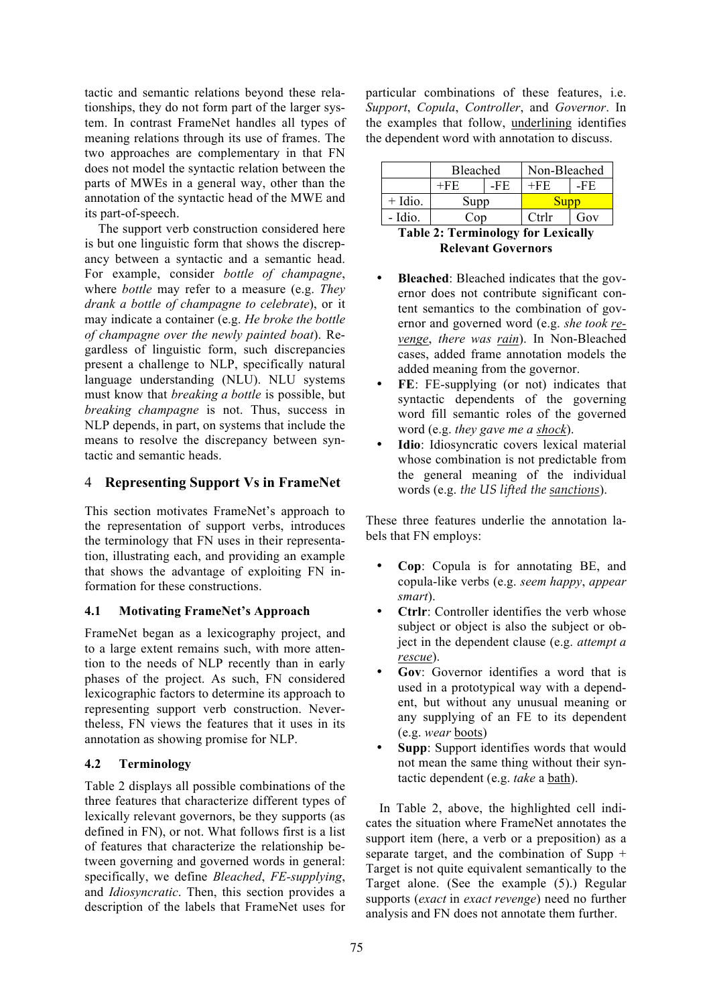tactic and semantic relations beyond these relationships, they do not form part of the larger system. In contrast FrameNet handles all types of meaning relations through its use of frames. The two approaches are complementary in that FN does not model the syntactic relation between the parts of MWEs in a general way, other than the annotation of the syntactic head of the MWE and its part-of-speech.

The support verb construction considered here is but one linguistic form that shows the discrepancy between a syntactic and a semantic head. For example, consider *bottle of champagne*, where *bottle* may refer to a measure (e.g. *They drank a bottle of champagne to celebrate*), or it may indicate a container (e.g. *He broke the bottle of champagne over the newly painted boat*). Regardless of linguistic form, such discrepancies present a challenge to NLP, specifically natural language understanding (NLU). NLU systems must know that *breaking a bottle* is possible, but *breaking champagne* is not. Thus, success in NLP depends, in part, on systems that include the means to resolve the discrepancy between syntactic and semantic heads.

## 4 **Representing Support Vs in FrameNet**

This section motivates FrameNet's approach to the representation of support verbs, introduces the terminology that FN uses in their representation, illustrating each, and providing an example that shows the advantage of exploiting FN information for these constructions.

## **4.1 Motivating FrameNet's Approach**

FrameNet began as a lexicography project, and to a large extent remains such, with more attention to the needs of NLP recently than in early phases of the project. As such, FN considered lexicographic factors to determine its approach to representing support verb construction. Nevertheless, FN views the features that it uses in its annotation as showing promise for NLP.

## **4.2 Terminology**

Table 2 displays all possible combinations of the three features that characterize different types of lexically relevant governors, be they supports (as defined in FN), or not. What follows first is a list of features that characterize the relationship between governing and governed words in general: specifically, we define *Bleached*, *FE-supplying*, and *Idiosyncratic*. Then, this section provides a description of the labels that FrameNet uses for

particular combinations of these features, i.e. *Support*, *Copula*, *Controller*, and *Governor*. In the examples that follow, underlining identifies the dependent word with annotation to discuss.

|                                     | Bleached        |     | Non-Bleached |     |  |  |
|-------------------------------------|-----------------|-----|--------------|-----|--|--|
|                                     | $+FE$           | -FE | $+FE$        | -FE |  |  |
| $+$ Idio.                           | Supp            |     | Supp         |     |  |  |
| - Idio.                             | Co <sub>D</sub> |     | Ctrlr        | Gov |  |  |
| Table 2. Towning loay for Lovigally |                 |     |              |     |  |  |

**Table 2: Terminology for Lexically Relevant Governors**

- **Bleached**: Bleached indicates that the governor does not contribute significant content semantics to the combination of governor and governed word (e.g. *she took revenge*, *there was rain*). In Non-Bleached cases, added frame annotation models the added meaning from the governor.
- **FE**: FE-supplying (or not) indicates that syntactic dependents of the governing word fill semantic roles of the governed word (e.g. *they gave me a shock*).
- **Idio**: Idiosyncratic covers lexical material whose combination is not predictable from the general meaning of the individual words (e.g. *the US lifted the sanctions*).

These three features underlie the annotation labels that FN employs:

- **Cop**: Copula is for annotating BE, and copula-like verbs (e.g. *seem happy*, *appear smart*).
- **Ctrlr**: Controller identifies the verb whose subject or object is also the subject or object in the dependent clause (e.g. *attempt a rescue*).
- **Gov**: Governor identifies a word that is used in a prototypical way with a dependent, but without any unusual meaning or any supplying of an FE to its dependent (e.g. *wear* boots)
- **Supp**: Support identifies words that would not mean the same thing without their syntactic dependent (e.g. *take* a bath).

In Table 2, above, the highlighted cell indicates the situation where FrameNet annotates the support item (here, a verb or a preposition) as a separate target, and the combination of Supp + Target is not quite equivalent semantically to the Target alone. (See the example (5).) Regular supports (*exact* in *exact revenge*) need no further analysis and FN does not annotate them further.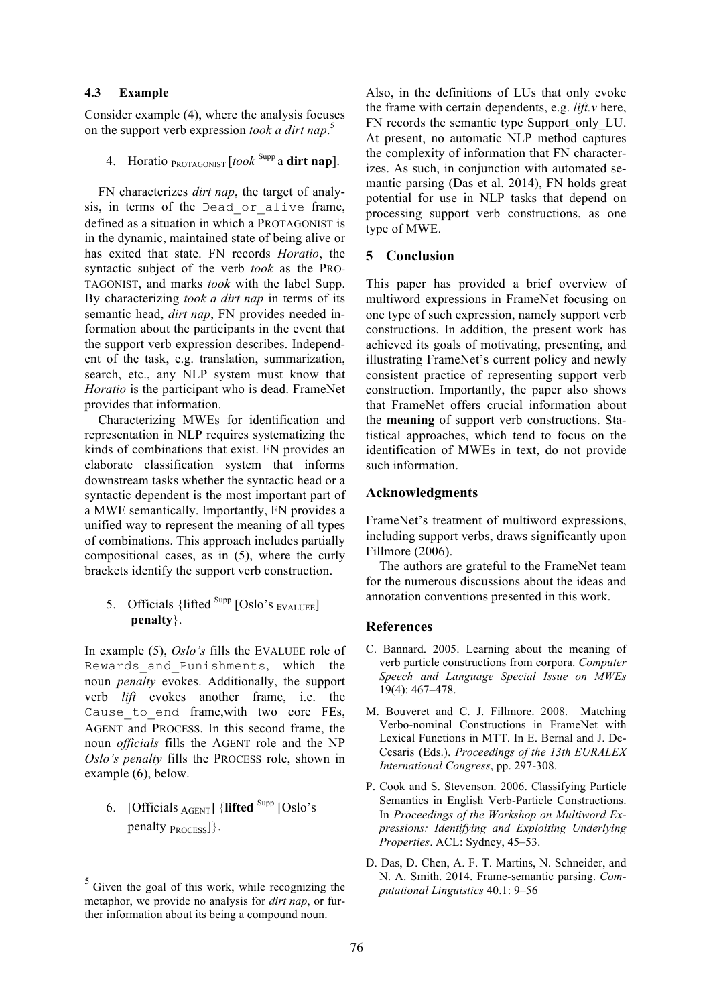### **4.3 Example**

Consider example (4), where the analysis focuses on the support verb expression *took a dirt nap*. 5

4. Horatio PROTAGONIST [*took* Supp a **dirt nap**].

FN characterizes *dirt nap*, the target of analysis, in terms of the Dead\_or\_alive frame, defined as a situation in which a PROTAGONIST is in the dynamic, maintained state of being alive or has exited that state. FN records *Horatio*, the syntactic subject of the verb *took* as the PRO-TAGONIST, and marks *took* with the label Supp. By characterizing *took a dirt nap* in terms of its semantic head, *dirt nap*, FN provides needed information about the participants in the event that the support verb expression describes. Independent of the task, e.g. translation, summarization, search, etc., any NLP system must know that *Horatio* is the participant who is dead. FrameNet provides that information.

Characterizing MWEs for identification and representation in NLP requires systematizing the kinds of combinations that exist. FN provides an elaborate classification system that informs downstream tasks whether the syntactic head or a syntactic dependent is the most important part of a MWE semantically. Importantly, FN provides a unified way to represent the meaning of all types of combinations. This approach includes partially compositional cases, as in (5), where the curly brackets identify the support verb construction.

## 5. Officials {lifted  $\frac{\text{Supp}}{\text{Oslo's }$  EVALUEE] **penalty**}.

In example (5), *Oslo's* fills the EVALUEE role of Rewards and Punishments, which the noun *penalty* evokes. Additionally, the support verb *lift* evokes another frame, i.e. the Cause to end frame, with two core FEs, AGENT and PROCESS. In this second frame, the noun *officials* fills the AGENT role and the NP *Oslo's penalty* fills the PROCESS role, shown in example (6), below.

6. [Officials AGENT] {**lifted** Supp [Oslo's penalty  $p_{ROCESS}$ }.

Also, in the definitions of LUs that only evoke the frame with certain dependents, e.g. *lift.v* here, FN records the semantic type Support only LU. At present, no automatic NLP method captures the complexity of information that FN characterizes. As such, in conjunction with automated semantic parsing (Das et al. 2014), FN holds great potential for use in NLP tasks that depend on processing support verb constructions, as one type of MWE.

### **5 Conclusion**

This paper has provided a brief overview of multiword expressions in FrameNet focusing on one type of such expression, namely support verb constructions. In addition, the present work has achieved its goals of motivating, presenting, and illustrating FrameNet's current policy and newly consistent practice of representing support verb construction. Importantly, the paper also shows that FrameNet offers crucial information about the **meaning** of support verb constructions. Statistical approaches, which tend to focus on the identification of MWEs in text, do not provide such information.

### **Acknowledgments**

FrameNet's treatment of multiword expressions, including support verbs, draws significantly upon Fillmore (2006).

The authors are grateful to the FrameNet team for the numerous discussions about the ideas and annotation conventions presented in this work.

### **References**

- C. Bannard. 2005. Learning about the meaning of verb particle constructions from corpora. *Computer Speech and Language Special Issue on MWEs* 19(4): 467–478.
- M. Bouveret and C. J. Fillmore. 2008. Matching Verbo-nominal Constructions in FrameNet with Lexical Functions in MTT. In E. Bernal and J. De-Cesaris (Eds.). *Proceedings of the 13th EURALEX International Congress*, pp. 297-308.
- P. Cook and S. Stevenson. 2006. Classifying Particle Semantics in English Verb-Particle Constructions. In *Proceedings of the Workshop on Multiword Expressions: Identifying and Exploiting Underlying Properties*. ACL: Sydney, 45–53.
- D. Das, D. Chen, A. F. T. Martins, N. Schneider, and N. A. Smith. 2014. Frame-semantic parsing. *Computational Linguistics* 40.1: 9–56

<sup>&</sup>lt;sup>5</sup> Given the goal of this work, while recognizing the metaphor, we provide no analysis for *dirt nap*, or further information about its being a compound noun.